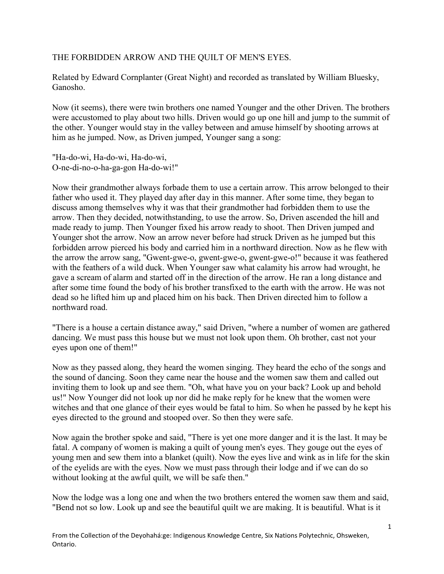## THE FORBIDDEN ARROW AND THE QUILT OF MEN'S EYES.

Related by Edward Cornplanter (Great Night) and recorded as translated by William Bluesky, Ganosho.

Now (it seems), there were twin brothers one named Younger and the other Driven. The brothers were accustomed to play about two hills. Driven would go up one hill and jump to the summit of the other. Younger would stay in the valley between and amuse himself by shooting arrows at him as he jumped. Now, as Driven jumped, Younger sang a song:

"Ha-do-wi, Ha-do-wi, Ha-do-wi, O-ne-di-no-o-ha-ga-gon Ha-do-wi!"

Now their grandmother always forbade them to use a certain arrow. This arrow belonged to their father who used it. They played day after day in this manner. After some time, they began to discuss among themselves why it was that their grandmother had forbidden them to use the arrow. Then they decided, notwithstanding, to use the arrow. So, Driven ascended the hill and made ready to jump. Then Younger fixed his arrow ready to shoot. Then Driven jumped and Younger shot the arrow. Now an arrow never before had struck Driven as he jumped but this forbidden arrow pierced his body and carried him in a northward direction. Now as he flew with the arrow the arrow sang, "Gwent-gwe-o, gwent-gwe-o, gwent-gwe-o!" because it was feathered with the feathers of a wild duck. When Younger saw what calamity his arrow had wrought, he gave a scream of alarm and started off in the direction of the arrow. He ran a long distance and after some time found the body of his brother transfixed to the earth with the arrow. He was not dead so he lifted him up and placed him on his back. Then Driven directed him to follow a northward road.

"There is a house a certain distance away," said Driven, "where a number of women are gathered dancing. We must pass this house but we must not look upon them. Oh brother, cast not your eyes upon one of them!"

Now as they passed along, they heard the women singing. They heard the echo of the songs and the sound of dancing. Soon they came near the house and the women saw them and called out inviting them to look up and see them. "Oh, what have you on your back? Look up and behold us!" Now Younger did not look up nor did he make reply for he knew that the women were witches and that one glance of their eyes would be fatal to him. So when he passed by he kept his eyes directed to the ground and stooped over. So then they were safe.

Now again the brother spoke and said, "There is yet one more danger and it is the last. It may be fatal. A company of women is making a quilt of young men's eyes. They gouge out the eyes of young men and sew them into a blanket (quilt). Now the eyes live and wink as in life for the skin of the eyelids are with the eyes. Now we must pass through their lodge and if we can do so without looking at the awful quilt, we will be safe then."

Now the lodge was a long one and when the two brothers entered the women saw them and said, "Bend not so low. Look up and see the beautiful quilt we are making. It is beautiful. What is it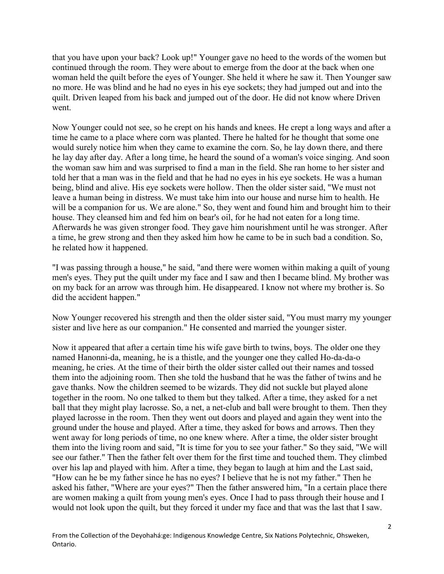that you have upon your back? Look up!" Younger gave no heed to the words of the women but continued through the room. They were about to emerge from the door at the back when one woman held the quilt before the eyes of Younger. She held it where he saw it. Then Younger saw no more. He was blind and he had no eyes in his eye sockets; they had jumped out and into the quilt. Driven leaped from his back and jumped out of the door. He did not know where Driven went.

Now Younger could not see, so he crept on his hands and knees. He crept a long ways and after a time he came to a place where corn was planted. There he halted for he thought that some one would surely notice him when they came to examine the corn. So, he lay down there, and there he lay day after day. After a long time, he heard the sound of a woman's voice singing. And soon the woman saw him and was surprised to find a man in the field. She ran home to her sister and told her that a man was in the field and that he had no eyes in his eye sockets. He was a human being, blind and alive. His eye sockets were hollow. Then the older sister said, "We must not leave a human being in distress. We must take him into our house and nurse him to health. He will be a companion for us. We are alone." So, they went and found him and brought him to their house. They cleansed him and fed him on bear's oil, for he had not eaten for a long time. Afterwards he was given stronger food. They gave him nourishment until he was stronger. After a time, he grew strong and then they asked him how he came to be in such bad a condition. So, he related how it happened.

"I was passing through a house," he said, "and there were women within making a quilt of young men's eyes. They put the quilt under my face and I saw and then I became blind. My brother was on my back for an arrow was through him. He disappeared. I know not where my brother is. So did the accident happen."

Now Younger recovered his strength and then the older sister said, "You must marry my younger sister and live here as our companion." He consented and married the younger sister.

Now it appeared that after a certain time his wife gave birth to twins, boys. The older one they named Hanonni-da, meaning, he is a thistle, and the younger one they called Ho-da-da-o meaning, he cries. At the time of their birth the older sister called out their names and tossed them into the adjoining room. Then she told the husband that he was the father of twins and he gave thanks. Now the children seemed to be wizards. They did not suckle but played alone together in the room. No one talked to them but they talked. After a time, they asked for a net ball that they might play lacrosse. So, a net, a net-club and ball were brought to them. Then they played lacrosse in the room. Then they went out doors and played and again they went into the ground under the house and played. After a time, they asked for bows and arrows. Then they went away for long periods of time, no one knew where. After a time, the older sister brought them into the living room and said, "It is time for you to see your father." So they said, "We will see our father." Then the father felt over them for the first time and touched them. They climbed over his lap and played with him. After a time, they began to laugh at him and the Last said, "How can he be my father since he has no eyes? I believe that he is not my father." Then he asked his father, "Where are your eyes?" Then the father answered him, "In a certain place there are women making a quilt from young men's eyes. Once I had to pass through their house and I would not look upon the quilt, but they forced it under my face and that was the last that I saw.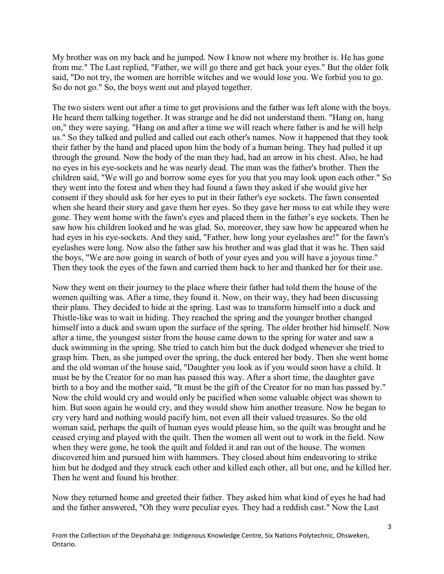My brother was on my back and he jumped. Now I know not where my brother is. He has gone from me." The Last replied, "Father, we will go there and get back your eyes." But the older folk said, "Do not try, the women are horrible witches and we would lose you. We forbid you to go. So do not go." So, the boys went out and played together.

The two sisters went out after a time to get provisions and the father was left alone with the boys. He heard them talking together. It was strange and he did not understand them. "Hang on, hang on," they were saying. "Hang on and after a time we will reach where father is and he will help us." So they talked and pulled and called out each other's names. Now it happened that they took their father by the hand and placed upon him the body of a human being. They had pulled it up through the ground. Now the body of the man they had, had an arrow in his chest. Also, he had no eyes in his eye-sockets and he was nearly dead. The man was the father's brother. Then the children said, "We will go and borrow some eyes for you that you may look upon each other." So they went into the forest and when they had found a fawn they asked if she would give her consent if they should ask for her eyes to put in their father's eye sockets. The fawn consented when she heard their story and gave them her eyes. So they gave her moss to eat while they were gone. They went home with the fawn's eyes and placed them in the father's eye sockets. Then he saw how his children looked and he was glad. So, moreover, they saw how he appeared when he had eyes in his eye-sockets. And they said, "Father, how long your eyelashes are!" for the fawn's eyelashes were long. Now also the father saw his brother and was glad that it was he. Then said the boys, "We are now going in search of both of your eyes and you will have a joyous time." Then they took the eyes of the fawn and carried them back to her and thanked her for their use.

Now they went on their journey to the place where their father had told them the house of the women quilting was. After a time, they found it. Now, on their way, they had been discussing their plans. They decided to hide at the spring. Last was to transform himself into a duck and Thistle-like was to wait in hiding. They reached the spring and the younger brother changed himself into a duck and swam upon the surface of the spring. The older brother hid himself. Now after a time, the youngest sister from the house came down to the spring for water and saw a duck swimming in the spring. She tried to catch him but the duck dodged whenever she tried to grasp him. Then, as she jumped over the spring, the duck entered her body. Then she went home and the old woman of the house said, "Daughter you look as if you would soon have a child. It must be by the Creator for no man has passed this way. After a short time, the daughter gave birth to a boy and the mother said, "It must be the gift of the Creator for no man has passed by." Now the child would cry and would only be pacified when some valuable object was shown to him. But soon again he would cry, and they would show him another treasure. Now he began to cry very hard and nothing would pacify him, not even all their valued treasures. So the old woman said, perhaps the quilt of human eyes would please him, so the quilt was brought and he ceased crying and played with the quilt. Then the women all went out to work in the field. Now when they were gone, he took the quilt and folded it and ran out of the house. The women discovered him and pursued him with hammers. They closed about him endeavoring to strike him but he dodged and they struck each other and killed each other, all but one, and he killed her. Then he went and found his brother.

Now they returned home and greeted their father. They asked him what kind of eyes he had had and the father answered, "Oh they were peculiar eyes. They had a reddish cast." Now the Last